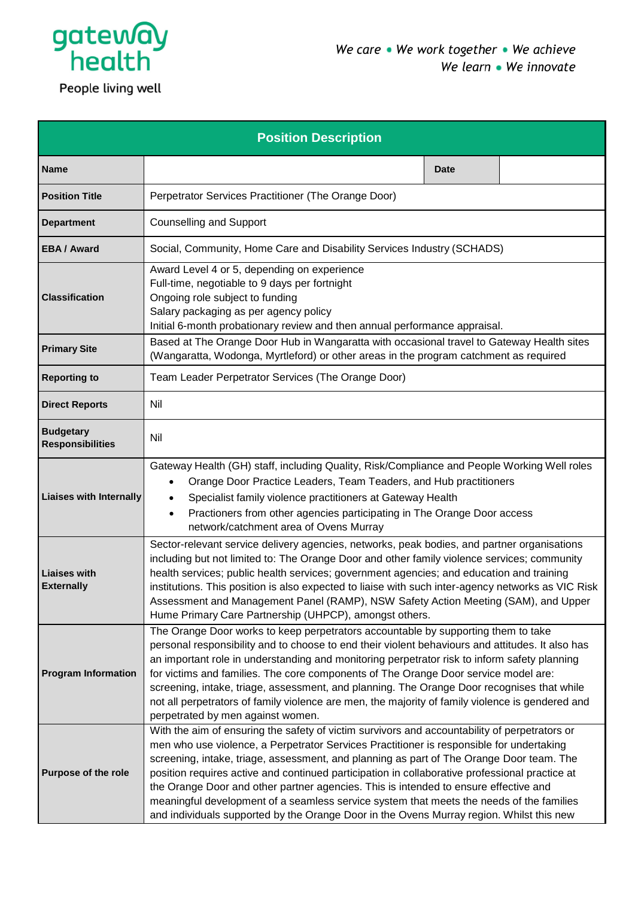

People living well

| <b>Position Description</b>                 |                                                                                                                                                                                                                                                                                                                                                                                                                                                                                                                                                                                                                                                                         |             |  |  |
|---------------------------------------------|-------------------------------------------------------------------------------------------------------------------------------------------------------------------------------------------------------------------------------------------------------------------------------------------------------------------------------------------------------------------------------------------------------------------------------------------------------------------------------------------------------------------------------------------------------------------------------------------------------------------------------------------------------------------------|-------------|--|--|
| <b>Name</b>                                 |                                                                                                                                                                                                                                                                                                                                                                                                                                                                                                                                                                                                                                                                         | <b>Date</b> |  |  |
| <b>Position Title</b>                       | Perpetrator Services Practitioner (The Orange Door)                                                                                                                                                                                                                                                                                                                                                                                                                                                                                                                                                                                                                     |             |  |  |
| <b>Department</b>                           | <b>Counselling and Support</b>                                                                                                                                                                                                                                                                                                                                                                                                                                                                                                                                                                                                                                          |             |  |  |
| <b>EBA/Award</b>                            | Social, Community, Home Care and Disability Services Industry (SCHADS)                                                                                                                                                                                                                                                                                                                                                                                                                                                                                                                                                                                                  |             |  |  |
| <b>Classification</b>                       | Award Level 4 or 5, depending on experience<br>Full-time, negotiable to 9 days per fortnight<br>Ongoing role subject to funding<br>Salary packaging as per agency policy<br>Initial 6-month probationary review and then annual performance appraisal.                                                                                                                                                                                                                                                                                                                                                                                                                  |             |  |  |
| <b>Primary Site</b>                         | Based at The Orange Door Hub in Wangaratta with occasional travel to Gateway Health sites<br>(Wangaratta, Wodonga, Myrtleford) or other areas in the program catchment as required                                                                                                                                                                                                                                                                                                                                                                                                                                                                                      |             |  |  |
| <b>Reporting to</b>                         | Team Leader Perpetrator Services (The Orange Door)                                                                                                                                                                                                                                                                                                                                                                                                                                                                                                                                                                                                                      |             |  |  |
| <b>Direct Reports</b>                       | Nil                                                                                                                                                                                                                                                                                                                                                                                                                                                                                                                                                                                                                                                                     |             |  |  |
| <b>Budgetary</b><br><b>Responsibilities</b> | Nil                                                                                                                                                                                                                                                                                                                                                                                                                                                                                                                                                                                                                                                                     |             |  |  |
| <b>Liaises with Internally</b>              | Gateway Health (GH) staff, including Quality, Risk/Compliance and People Working Well roles<br>Orange Door Practice Leaders, Team Teaders, and Hub practitioners<br>Specialist family violence practitioners at Gateway Health<br>$\bullet$<br>Practioners from other agencies participating in The Orange Door access<br>$\bullet$<br>network/catchment area of Ovens Murray                                                                                                                                                                                                                                                                                           |             |  |  |
| <b>Liaises with</b><br><b>Externally</b>    | Sector-relevant service delivery agencies, networks, peak bodies, and partner organisations<br>including but not limited to: The Orange Door and other family violence services; community<br>health services; public health services; government agencies; and education and training<br>institutions. This position is also expected to liaise with such inter-agency networks as VIC Risk<br>Assessment and Management Panel (RAMP), NSW Safety Action Meeting (SAM), and Upper<br>Hume Primary Care Partnership (UHPCP), amongst others.                                                                                                                            |             |  |  |
| <b>Program Information</b>                  | The Orange Door works to keep perpetrators accountable by supporting them to take<br>personal responsibility and to choose to end their violent behaviours and attitudes. It also has<br>an important role in understanding and monitoring perpetrator risk to inform safety planning<br>for victims and families. The core components of The Orange Door service model are:<br>screening, intake, triage, assessment, and planning. The Orange Door recognises that while<br>not all perpetrators of family violence are men, the majority of family violence is gendered and<br>perpetrated by men against women.                                                     |             |  |  |
| Purpose of the role                         | With the aim of ensuring the safety of victim survivors and accountability of perpetrators or<br>men who use violence, a Perpetrator Services Practitioner is responsible for undertaking<br>screening, intake, triage, assessment, and planning as part of The Orange Door team. The<br>position requires active and continued participation in collaborative professional practice at<br>the Orange Door and other partner agencies. This is intended to ensure effective and<br>meaningful development of a seamless service system that meets the needs of the families<br>and individuals supported by the Orange Door in the Ovens Murray region. Whilst this new |             |  |  |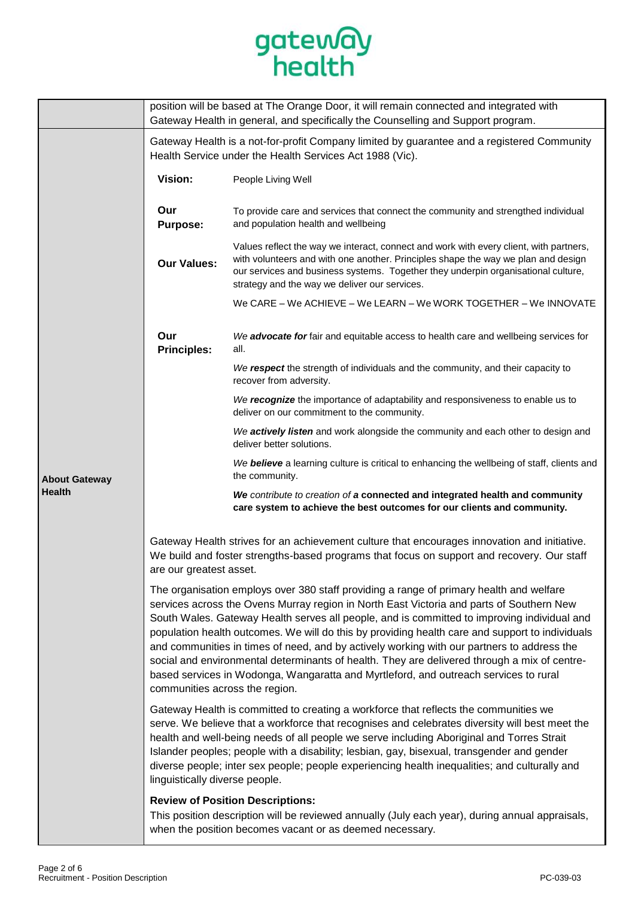

|                      | position will be based at The Orange Door, it will remain connected and integrated with<br>Gateway Health in general, and specifically the Counselling and Support program.                                                                                                                                                                                                                                                                                                                                                                                                                                                                                                                                   |                                                                                                                                                                                                                                                                                                                   |  |  |
|----------------------|---------------------------------------------------------------------------------------------------------------------------------------------------------------------------------------------------------------------------------------------------------------------------------------------------------------------------------------------------------------------------------------------------------------------------------------------------------------------------------------------------------------------------------------------------------------------------------------------------------------------------------------------------------------------------------------------------------------|-------------------------------------------------------------------------------------------------------------------------------------------------------------------------------------------------------------------------------------------------------------------------------------------------------------------|--|--|
|                      | Gateway Health is a not-for-profit Company limited by guarantee and a registered Community<br>Health Service under the Health Services Act 1988 (Vic).                                                                                                                                                                                                                                                                                                                                                                                                                                                                                                                                                        |                                                                                                                                                                                                                                                                                                                   |  |  |
| <b>About Gateway</b> | Vision:                                                                                                                                                                                                                                                                                                                                                                                                                                                                                                                                                                                                                                                                                                       | People Living Well                                                                                                                                                                                                                                                                                                |  |  |
|                      | Our<br><b>Purpose:</b>                                                                                                                                                                                                                                                                                                                                                                                                                                                                                                                                                                                                                                                                                        | To provide care and services that connect the community and strengthed individual<br>and population health and wellbeing                                                                                                                                                                                          |  |  |
|                      | <b>Our Values:</b>                                                                                                                                                                                                                                                                                                                                                                                                                                                                                                                                                                                                                                                                                            | Values reflect the way we interact, connect and work with every client, with partners,<br>with volunteers and with one another. Principles shape the way we plan and design<br>our services and business systems. Together they underpin organisational culture,<br>strategy and the way we deliver our services. |  |  |
|                      |                                                                                                                                                                                                                                                                                                                                                                                                                                                                                                                                                                                                                                                                                                               | We CARE – We ACHIEVE – We LEARN – We WORK TOGETHER – We INNOVATE                                                                                                                                                                                                                                                  |  |  |
|                      | Our<br><b>Principles:</b>                                                                                                                                                                                                                                                                                                                                                                                                                                                                                                                                                                                                                                                                                     | We advocate for fair and equitable access to health care and wellbeing services for<br>all.                                                                                                                                                                                                                       |  |  |
|                      |                                                                                                                                                                                                                                                                                                                                                                                                                                                                                                                                                                                                                                                                                                               | We respect the strength of individuals and the community, and their capacity to<br>recover from adversity.                                                                                                                                                                                                        |  |  |
|                      |                                                                                                                                                                                                                                                                                                                                                                                                                                                                                                                                                                                                                                                                                                               | We recognize the importance of adaptability and responsiveness to enable us to<br>deliver on our commitment to the community.                                                                                                                                                                                     |  |  |
|                      |                                                                                                                                                                                                                                                                                                                                                                                                                                                                                                                                                                                                                                                                                                               | We actively listen and work alongside the community and each other to design and<br>deliver better solutions.                                                                                                                                                                                                     |  |  |
|                      |                                                                                                                                                                                                                                                                                                                                                                                                                                                                                                                                                                                                                                                                                                               | We believe a learning culture is critical to enhancing the wellbeing of staff, clients and<br>the community.                                                                                                                                                                                                      |  |  |
| <b>Health</b>        |                                                                                                                                                                                                                                                                                                                                                                                                                                                                                                                                                                                                                                                                                                               | We contribute to creation of a connected and integrated health and community<br>care system to achieve the best outcomes for our clients and community.                                                                                                                                                           |  |  |
|                      | Gateway Health strives for an achievement culture that encourages innovation and initiative.<br>We build and foster strengths-based programs that focus on support and recovery. Our staff<br>are our greatest asset.                                                                                                                                                                                                                                                                                                                                                                                                                                                                                         |                                                                                                                                                                                                                                                                                                                   |  |  |
|                      | The organisation employs over 380 staff providing a range of primary health and welfare<br>services across the Ovens Murray region in North East Victoria and parts of Southern New<br>South Wales. Gateway Health serves all people, and is committed to improving individual and<br>population health outcomes. We will do this by providing health care and support to individuals<br>and communities in times of need, and by actively working with our partners to address the<br>social and environmental determinants of health. They are delivered through a mix of centre-<br>based services in Wodonga, Wangaratta and Myrtleford, and outreach services to rural<br>communities across the region. |                                                                                                                                                                                                                                                                                                                   |  |  |
|                      | Gateway Health is committed to creating a workforce that reflects the communities we<br>serve. We believe that a workforce that recognises and celebrates diversity will best meet the<br>health and well-being needs of all people we serve including Aboriginal and Torres Strait<br>Islander peoples; people with a disability; lesbian, gay, bisexual, transgender and gender<br>diverse people; inter sex people; people experiencing health inequalities; and culturally and<br>linguistically diverse people.                                                                                                                                                                                          |                                                                                                                                                                                                                                                                                                                   |  |  |
|                      |                                                                                                                                                                                                                                                                                                                                                                                                                                                                                                                                                                                                                                                                                                               | <b>Review of Position Descriptions:</b><br>This position description will be reviewed annually (July each year), during annual appraisals,<br>when the position becomes vacant or as deemed necessary.                                                                                                            |  |  |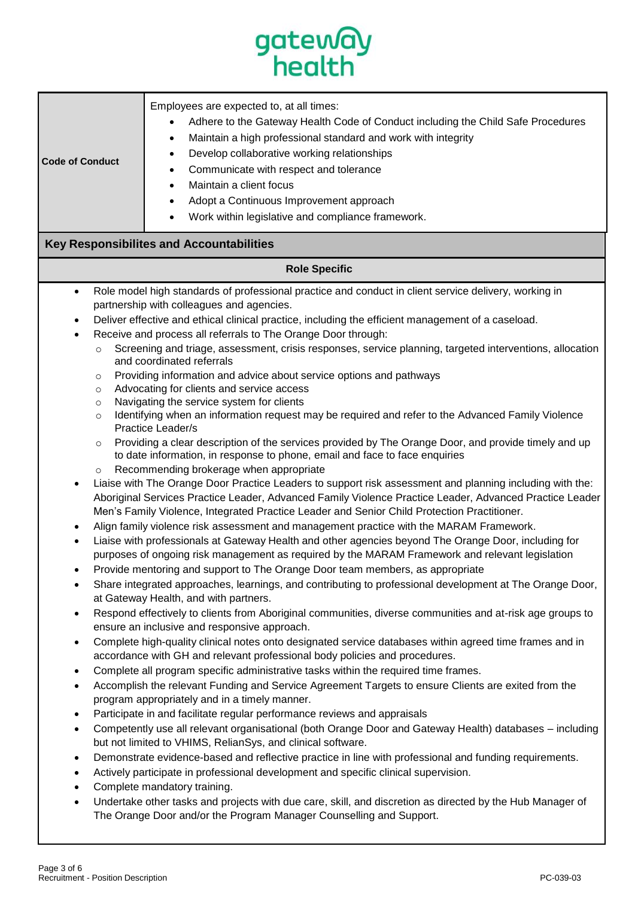| gateway<br>health                                                                                                                                                                                                          |                                                                                                                                                                                                                                                                                                                                                                                                                                                                                                                                                                                                                                                                                                                                                                                                                                                                                                                                                                                                                                                                                                                                                                                                                                                                                                                                                                                                                                                                                                                                                                                                                                                                                                                                                                                                                                                                                                                                                                                                                                                                                                                                                                                                                                                                                                                                                                                                                                                                                                                                                                                                                                                                                                                                                                                                                                                                                                                                                               |  |  |  |
|----------------------------------------------------------------------------------------------------------------------------------------------------------------------------------------------------------------------------|---------------------------------------------------------------------------------------------------------------------------------------------------------------------------------------------------------------------------------------------------------------------------------------------------------------------------------------------------------------------------------------------------------------------------------------------------------------------------------------------------------------------------------------------------------------------------------------------------------------------------------------------------------------------------------------------------------------------------------------------------------------------------------------------------------------------------------------------------------------------------------------------------------------------------------------------------------------------------------------------------------------------------------------------------------------------------------------------------------------------------------------------------------------------------------------------------------------------------------------------------------------------------------------------------------------------------------------------------------------------------------------------------------------------------------------------------------------------------------------------------------------------------------------------------------------------------------------------------------------------------------------------------------------------------------------------------------------------------------------------------------------------------------------------------------------------------------------------------------------------------------------------------------------------------------------------------------------------------------------------------------------------------------------------------------------------------------------------------------------------------------------------------------------------------------------------------------------------------------------------------------------------------------------------------------------------------------------------------------------------------------------------------------------------------------------------------------------------------------------------------------------------------------------------------------------------------------------------------------------------------------------------------------------------------------------------------------------------------------------------------------------------------------------------------------------------------------------------------------------------------------------------------------------------------------------------------------------|--|--|--|
| <b>Code of Conduct</b>                                                                                                                                                                                                     | Employees are expected to, at all times:<br>Adhere to the Gateway Health Code of Conduct including the Child Safe Procedures<br>Maintain a high professional standard and work with integrity<br>٠<br>Develop collaborative working relationships<br>٠<br>Communicate with respect and tolerance<br>٠<br>Maintain a client focus<br>Adopt a Continuous Improvement approach<br>٠<br>Work within legislative and compliance framework.                                                                                                                                                                                                                                                                                                                                                                                                                                                                                                                                                                                                                                                                                                                                                                                                                                                                                                                                                                                                                                                                                                                                                                                                                                                                                                                                                                                                                                                                                                                                                                                                                                                                                                                                                                                                                                                                                                                                                                                                                                                                                                                                                                                                                                                                                                                                                                                                                                                                                                                         |  |  |  |
|                                                                                                                                                                                                                            | <b>Key Responsibilites and Accountabilities</b>                                                                                                                                                                                                                                                                                                                                                                                                                                                                                                                                                                                                                                                                                                                                                                                                                                                                                                                                                                                                                                                                                                                                                                                                                                                                                                                                                                                                                                                                                                                                                                                                                                                                                                                                                                                                                                                                                                                                                                                                                                                                                                                                                                                                                                                                                                                                                                                                                                                                                                                                                                                                                                                                                                                                                                                                                                                                                                               |  |  |  |
| <b>Role Specific</b>                                                                                                                                                                                                       |                                                                                                                                                                                                                                                                                                                                                                                                                                                                                                                                                                                                                                                                                                                                                                                                                                                                                                                                                                                                                                                                                                                                                                                                                                                                                                                                                                                                                                                                                                                                                                                                                                                                                                                                                                                                                                                                                                                                                                                                                                                                                                                                                                                                                                                                                                                                                                                                                                                                                                                                                                                                                                                                                                                                                                                                                                                                                                                                                               |  |  |  |
| $\bullet$<br>$\circ$<br>$\circ$<br>$\circ$<br>$\circ$<br>$\circ$<br>$\circ$<br>$\bullet$<br>$\bullet$<br>$\bullet$<br>$\bullet$<br>$\bullet$<br>$\bullet$<br>$\bullet$<br>$\bullet$<br>$\bullet$<br>$\bullet$<br>$\bullet$ | Role model high standards of professional practice and conduct in client service delivery, working in<br>partnership with colleagues and agencies.<br>Deliver effective and ethical clinical practice, including the efficient management of a caseload.<br>Receive and process all referrals to The Orange Door through:<br>Screening and triage, assessment, crisis responses, service planning, targeted interventions, allocation<br>and coordinated referrals<br>Providing information and advice about service options and pathways<br>Advocating for clients and service access<br>Navigating the service system for clients<br>Identifying when an information request may be required and refer to the Advanced Family Violence<br>Practice Leader/s<br>Providing a clear description of the services provided by The Orange Door, and provide timely and up<br>to date information, in response to phone, email and face to face enquiries<br>Recommending brokerage when appropriate<br>Liaise with The Orange Door Practice Leaders to support risk assessment and planning including with the:<br>Aboriginal Services Practice Leader, Advanced Family Violence Practice Leader, Advanced Practice Leader<br>Men's Family Violence, Integrated Practice Leader and Senior Child Protection Practitioner.<br>Align family violence risk assessment and management practice with the MARAM Framework.<br>Liaise with professionals at Gateway Health and other agencies beyond The Orange Door, including for<br>purposes of ongoing risk management as required by the MARAM Framework and relevant legislation<br>Provide mentoring and support to The Orange Door team members, as appropriate<br>Share integrated approaches, learnings, and contributing to professional development at The Orange Door,<br>at Gateway Health, and with partners.<br>Respond effectively to clients from Aboriginal communities, diverse communities and at-risk age groups to<br>ensure an inclusive and responsive approach.<br>Complete high-quality clinical notes onto designated service databases within agreed time frames and in<br>accordance with GH and relevant professional body policies and procedures.<br>Complete all program specific administrative tasks within the required time frames.<br>Accomplish the relevant Funding and Service Agreement Targets to ensure Clients are exited from the<br>program appropriately and in a timely manner.<br>Participate in and facilitate regular performance reviews and appraisals<br>Competently use all relevant organisational (both Orange Door and Gateway Health) databases - including<br>but not limited to VHIMS, RelianSys, and clinical software.<br>Demonstrate evidence-based and reflective practice in line with professional and funding requirements.<br>Actively participate in professional development and specific clinical supervision.<br>Complete mandatory training. |  |  |  |
| $\bullet$                                                                                                                                                                                                                  | Undertake other tasks and projects with due care, skill, and discretion as directed by the Hub Manager of<br>The Orange Door and/or the Program Manager Counselling and Support.                                                                                                                                                                                                                                                                                                                                                                                                                                                                                                                                                                                                                                                                                                                                                                                                                                                                                                                                                                                                                                                                                                                                                                                                                                                                                                                                                                                                                                                                                                                                                                                                                                                                                                                                                                                                                                                                                                                                                                                                                                                                                                                                                                                                                                                                                                                                                                                                                                                                                                                                                                                                                                                                                                                                                                              |  |  |  |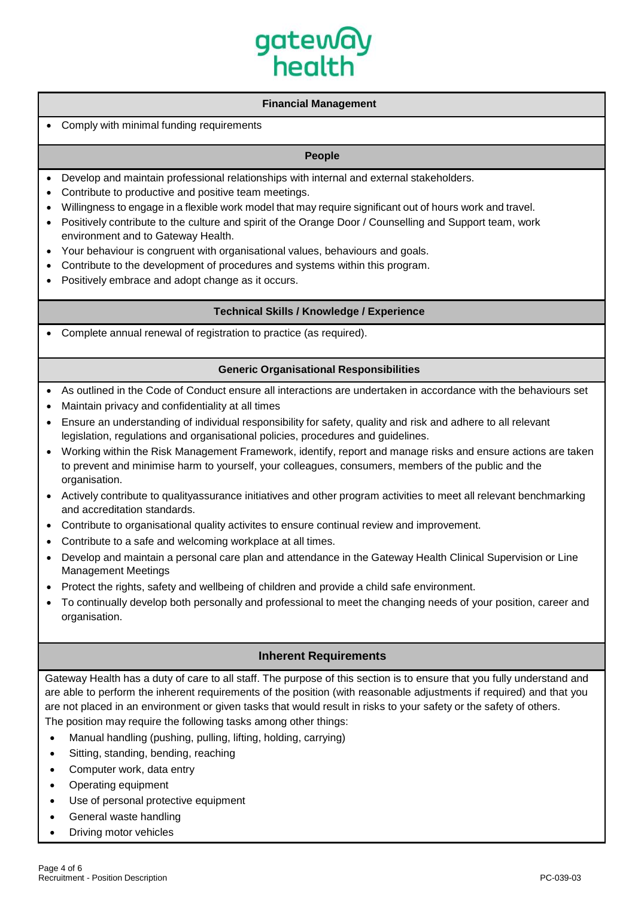# gatewa health

## **Financial Management**

## • Comply with minimal funding requirements

# **People**

- Develop and maintain professional relationships with internal and external stakeholders.
- Contribute to productive and positive team meetings.
- Willingness to engage in a flexible work model that may require significant out of hours work and travel.
- Positively contribute to the culture and spirit of the Orange Door / Counselling and Support team, work environment and to Gateway Health.
- Your behaviour is congruent with organisational values, behaviours and goals.
- Contribute to the development of procedures and systems within this program.
- Positively embrace and adopt change as it occurs.

#### **Technical Skills / Knowledge / Experience**

• Complete annual renewal of registration to practice (as required).

#### **Generic Organisational Responsibilities**

- As outlined in the Code of Conduct ensure all interactions are undertaken in accordance with the behaviours set
- Maintain privacy and confidentiality at all times
- Ensure an understanding of individual responsibility for safety, quality and risk and adhere to all relevant legislation, regulations and organisational policies, procedures and guidelines.
- Working within the Risk Management Framework, identify, report and manage risks and ensure actions are taken to prevent and minimise harm to yourself, your colleagues, consumers, members of the public and the organisation.
- Actively contribute to qualityassurance initiatives and other program activities to meet all relevant benchmarking and accreditation standards.
- Contribute to organisational quality activites to ensure continual review and improvement.
- Contribute to a safe and welcoming workplace at all times.
- Develop and maintain a personal care plan and attendance in the Gateway Health Clinical Supervision or Line Management Meetings
- Protect the rights, safety and wellbeing of children and provide a child safe environment.
- To continually develop both personally and professional to meet the changing needs of your position, career and organisation.

# **Inherent Requirements**

Gateway Health has a duty of care to all staff. The purpose of this section is to ensure that you fully understand and are able to perform the inherent requirements of the position (with reasonable adjustments if required) and that you are not placed in an environment or given tasks that would result in risks to your safety or the safety of others. The position may require the following tasks among other things:

- Manual handling (pushing, pulling, lifting, holding, carrying)
- Sitting, standing, bending, reaching
- Computer work, data entry
- Operating equipment
- Use of personal protective equipment
- General waste handling
- **Driving motor vehicles**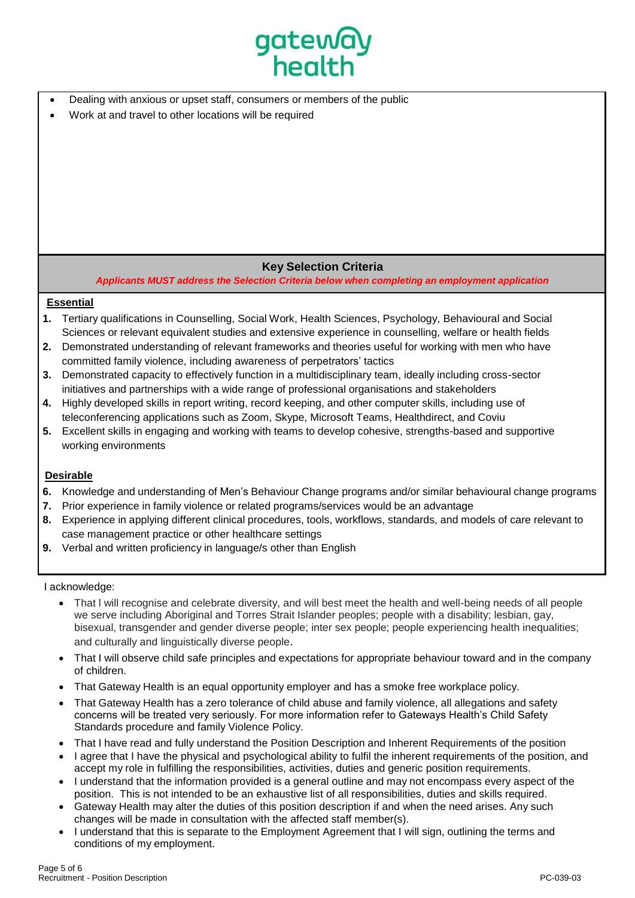

- Dealing with anxious or upset staff, consumers or members of the public
- Work at and travel to other locations will be required

# **Key Selection Criteria**

*Applicants MUST address the Selection Criteria below when completing an employment application*

# **Essential**

- **1.** Tertiary qualifications in Counselling, Social Work, Health Sciences, Psychology, Behavioural and Social Sciences or relevant equivalent studies and extensive experience in counselling, welfare or health fields
- **2.** Demonstrated understanding of relevant frameworks and theories useful for working with men who have committed family violence, including awareness of perpetrators' tactics
- **3.** Demonstrated capacity to effectively function in a multidisciplinary team, ideally including cross-sector initiatives and partnerships with a wide range of professional organisations and stakeholders
- **4.** Highly developed skills in report writing, record keeping, and other computer skills, including use of teleconferencing applications such as Zoom, Skype, Microsoft Teams, Healthdirect, and Coviu
- **5.** Excellent skills in engaging and working with teams to develop cohesive, strengths-based and supportive working environments

## **Desirable**

- **6.** Knowledge and understanding of Men's Behaviour Change programs and/or similar behavioural change programs
- **7.** Prior experience in family violence or related programs/services would be an advantage
- **8.** Experience in applying different clinical procedures, tools, workflows, standards, and models of care relevant to case management practice or other healthcare settings
- **9.** Verbal and written proficiency in language/s other than English

## I acknowledge:

- That l will recognise and celebrate diversity, and will best meet the health and well-being needs of all people we serve including Aboriginal and Torres Strait Islander peoples; people with a disability; lesbian, gay, bisexual, transgender and gender diverse people; inter sex people; people experiencing health inequalities; and culturally and linguistically diverse people.
- That I will observe child safe principles and expectations for appropriate behaviour toward and in the company of children.
- That Gateway Health is an equal opportunity employer and has a smoke free workplace policy.
- That Gateway Health has a zero tolerance of child abuse and family violence, all allegations and safety concerns will be treated very seriously. For more information refer to Gateways Health's Child Safety Standards procedure and family Violence Policy.
- That I have read and fully understand the Position Description and Inherent Requirements of the position
- I agree that I have the physical and psychological ability to fulfil the inherent requirements of the position, and accept my role in fulfilling the responsibilities, activities, duties and generic position requirements.
- I understand that the information provided is a general outline and may not encompass every aspect of the position. This is not intended to be an exhaustive list of all responsibilities, duties and skills required.
- Gateway Health may alter the duties of this position description if and when the need arises. Any such changes will be made in consultation with the affected staff member(s).
- I understand that this is separate to the Employment Agreement that I will sign, outlining the terms and conditions of my employment.